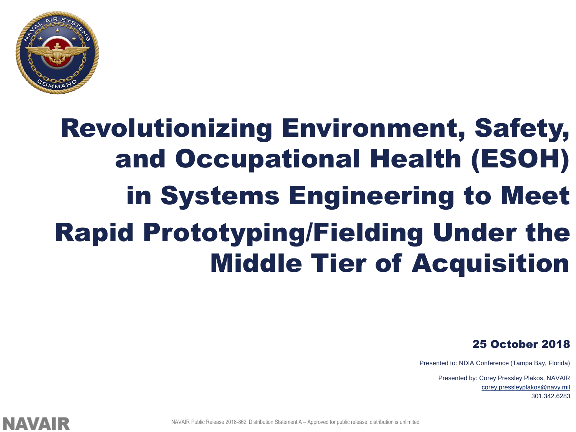

### Revolutionizing Environment, Safety, and Occupational Health (ESOH) in Systems Engineering to Meet Rapid Prototyping/Fielding Under the Middle Tier of Acquisition

25 October 2018

Presented to: NDIA Conference (Tampa Bay, Florida)

Presented by: Corey Pressley Plakos, NAVAIR [corey.pressleyplakos@navy.mil](mailto:Corey.Pressleyplakos@navy.mil) 301.342.6283



NAVAIR Public Release 2018-862. Distribution Statement A – Approved for public release; distribution is unlimited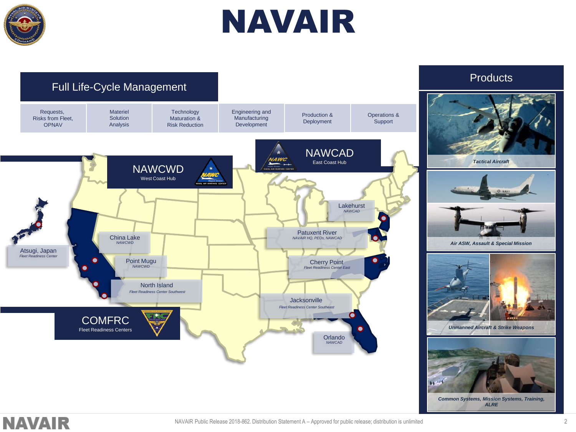

### NAVAIR

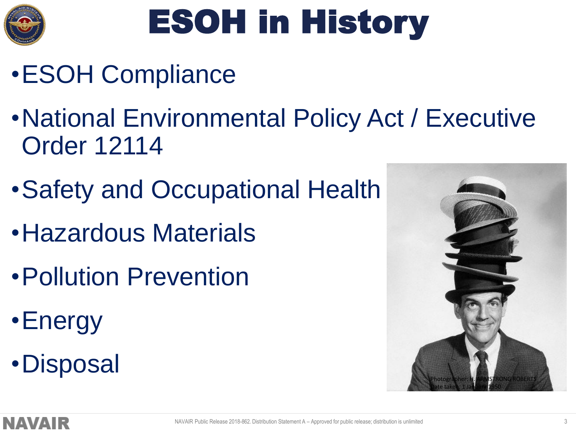

## ESOH in History

- •ESOH Compliance
- •National Environmental Policy Act / Executive Order 12114
- •Safety and Occupational Health
- •Hazardous Materials
- •Pollution Prevention
- •Energy
- •Disposal

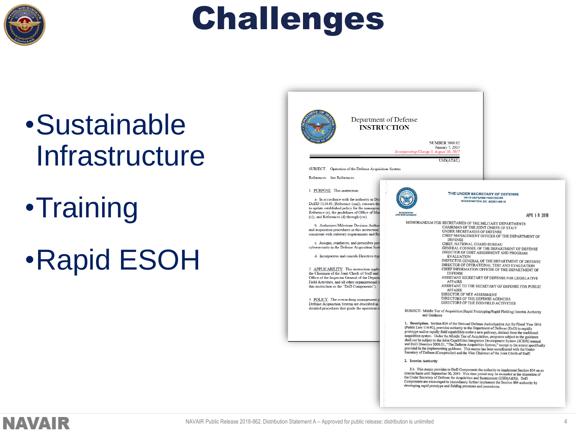

### Challenges

### •Sustainable **Infrastructure**

•Training

•Rapid ESOH

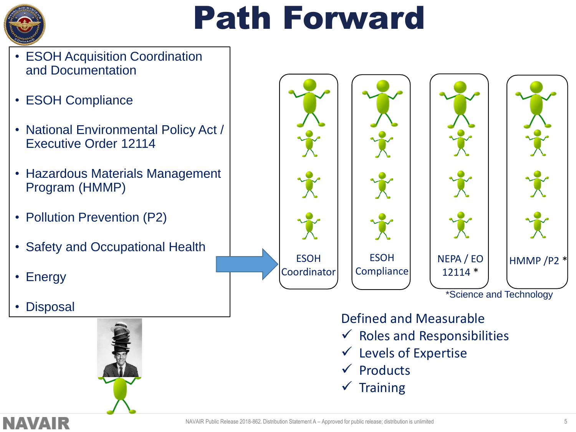

### Path Forward

- ESOH Acquisition Coordination and Documentation
- ESOH Compliance
- National Environmental Policy Act / Executive Order 12114
- Hazardous Materials Management Program (HMMP)
- Pollution Prevention (P2)
- Safety and Occupational Health
- Energy
- **Disposal**





#### Defined and Measurable

- $\checkmark$  Roles and Responsibilities
- $\checkmark$  Levels of Expertise
- **Products**
- $\checkmark$  Training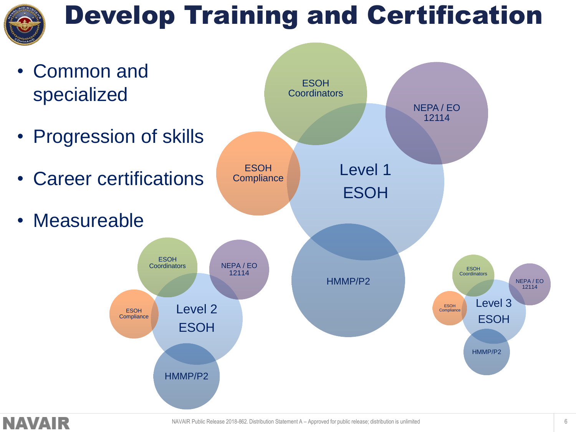

### Develop Training and Certification

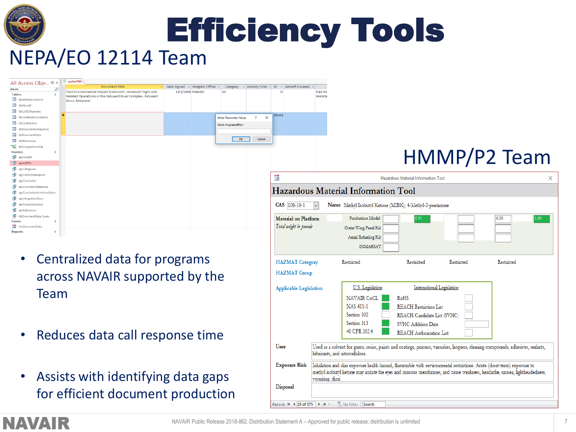

Efficiency Tools

### NEPA/EO 12114 Team

| All Access Obje ® «                  | qrybyPMA | <b>Document Title</b>                                                                                                    | ÷ | Date Signed - Program Office - | Category                     | + Activity Time +                    | ID    | - Aircraft Covered -   |                          |                              |
|--------------------------------------|----------|--------------------------------------------------------------------------------------------------------------------------|---|--------------------------------|------------------------------|--------------------------------------|-------|------------------------|--------------------------|------------------------------|
| Search<br>اعر                        |          |                                                                                                                          |   |                                |                              |                                      |       |                        |                          |                              |
| <b>Tables</b><br>$\hat{\mathbf{x}}$  |          | Final Environmental Impact Statement: Increased Flight and<br>Related Operations in the Patuxent River Complex. Patuxent |   | 12/1/1998 PMA000               | <b>EIS</b>                   |                                      | 71    |                        | <b>NAS Pat</b><br>Webste |                              |
| 田<br>tblActivityLocations            |          | River, Maryland                                                                                                          |   |                                |                              |                                      |       |                        |                          |                              |
| ⊞<br>tblAircraft                     |          |                                                                                                                          |   |                                |                              |                                      |       |                        |                          |                              |
| ⊞<br>tblCATEXNumbers                 |          |                                                                                                                          |   |                                |                              |                                      |       |                        |                          |                              |
| 用<br>tblContractorLocations          |          |                                                                                                                          |   |                                | <b>Enter Parameter Value</b> | $\times$<br>$\overline{\phantom{a}}$ | (New) |                        |                          |                              |
| =<br>tblContractors                  |          |                                                                                                                          |   |                                | Which ProgramOffice?         |                                      |       |                        |                          |                              |
| tblDocumentCategories<br>⊞           |          |                                                                                                                          |   |                                |                              |                                      |       |                        |                          |                              |
| 爾<br>tblDocumentData                 |          |                                                                                                                          |   |                                |                              |                                      |       |                        |                          |                              |
| 用<br>tblReferences                   |          |                                                                                                                          |   |                                | OK                           | Cancel                               |       |                        |                          |                              |
| tblOriginalExcelFile                 |          |                                                                                                                          |   |                                |                              |                                      |       |                        |                          |                              |
| <b>Queries</b><br>$\hat{\mathbf{x}}$ |          |                                                                                                                          |   |                                |                              |                                      |       |                        |                          |                              |
| 齳<br>qryAircraft                     |          |                                                                                                                          |   |                                |                              |                                      |       |                        |                          |                              |
| 匣<br>qrybyPMA                        |          |                                                                                                                          |   |                                |                              |                                      |       |                        |                          |                              |
| 唧<br>gryCategories                   |          |                                                                                                                          |   |                                |                              |                                      |       |                        |                          |                              |
| 齳<br>qryCATEXDateExpires             |          |                                                                                                                          |   |                                |                              |                                      | 宅     |                        |                          |                              |
| æ<br>qryContractor                   |          |                                                                                                                          |   |                                |                              |                                      |       |                        |                          | H                            |
| 齳<br>gryContractorDatabase           |          |                                                                                                                          |   |                                |                              |                                      |       |                        |                          |                              |
| 齳<br>gryContractorLocationsDatas     |          |                                                                                                                          |   |                                |                              |                                      |       |                        |                          | Hazardous Material Informati |
| æ<br>qryIntegrationDocs              |          |                                                                                                                          |   |                                |                              |                                      |       |                        |                          |                              |
| 睴<br>arvProductionDocs               |          |                                                                                                                          |   |                                |                              |                                      |       | CAS  108-10-1          | $\checkmark$             | Name Methyl Isobutyl Keto    |
| 両<br>aryReferences                   |          |                                                                                                                          |   |                                |                              |                                      |       |                        |                          |                              |
| 齳<br>tblDocumentData Query           |          |                                                                                                                          |   |                                |                              |                                      |       | Material on Platform   |                          | Production Model             |
| $\hat{\mathbf{x}}$<br>Forms          |          |                                                                                                                          |   |                                |                              |                                      |       |                        |                          |                              |
| 33<br>frmDocumentData                |          |                                                                                                                          |   |                                |                              |                                      |       | Total weight in pounds |                          | Outer Wing Panel Kit         |
| ×<br><b>Reports</b>                  |          |                                                                                                                          |   |                                |                              |                                      |       |                        |                          |                              |
|                                      |          |                                                                                                                          |   |                                |                              |                                      |       |                        |                          | Aerial Refueling Kit         |

- Centralized data for programs across NAVAIR supported by the Team
- Reduces data call response time
- Assists with identifying data gaps for efficient document production

| 語                                              | X                                                                                                                                                                                                                                                                     |                                                                                     |                                 |                           |              |  |  |  |
|------------------------------------------------|-----------------------------------------------------------------------------------------------------------------------------------------------------------------------------------------------------------------------------------------------------------------------|-------------------------------------------------------------------------------------|---------------------------------|---------------------------|--------------|--|--|--|
|                                                |                                                                                                                                                                                                                                                                       | Hazardous Material Information Tool                                                 |                                 |                           |              |  |  |  |
| CAS 108-10-1                                   |                                                                                                                                                                                                                                                                       | Name Methyl Isobutyl Ketone (MIBK); 4-Methyl-2-pentanone                            |                                 |                           |              |  |  |  |
| Material on Platform<br>Total weight in pounds |                                                                                                                                                                                                                                                                       | Production Model<br>Outer Wing Panel Kit<br>Aerial Refueling Kit<br><b>INMARSAT</b> | 0.91                            |                           | 0.00<br>1.00 |  |  |  |
| <b>HAZMAT</b> Category                         |                                                                                                                                                                                                                                                                       | Restricted                                                                          | Restricted                      | Restricted                | Restricted   |  |  |  |
| <b>HAZMAT</b> Group                            |                                                                                                                                                                                                                                                                       |                                                                                     |                                 |                           |              |  |  |  |
| <b>Applicable Legislation</b>                  |                                                                                                                                                                                                                                                                       | U.S. Legislation                                                                    |                                 | International Legislation |              |  |  |  |
|                                                |                                                                                                                                                                                                                                                                       | <b>NAVAIR CoCL</b>                                                                  | <b>RoHS</b>                     |                           |              |  |  |  |
|                                                |                                                                                                                                                                                                                                                                       | <b>NAS 411-1</b>                                                                    | <b>REACH Restriction List</b>   |                           |              |  |  |  |
|                                                |                                                                                                                                                                                                                                                                       | Section 302                                                                         | REACH Candidate List (SVHC)     |                           |              |  |  |  |
|                                                |                                                                                                                                                                                                                                                                       | Section 313                                                                         | <b>SVHC</b> Addition Date       |                           |              |  |  |  |
|                                                |                                                                                                                                                                                                                                                                       | 40 CFR 302.4                                                                        | <b>REACH Authorisation List</b> |                           |              |  |  |  |
| <b>Uses</b>                                    | Used as a solvent for gums, resins, paints and coatings, primers, varnishes, lacquers, cleaning compounds, adhesives, sealants,<br>lubricants, and nitrocellulose.                                                                                                    |                                                                                     |                                 |                           |              |  |  |  |
| <b>Exposure Risk</b>                           | Inhalation and skin exposure health hazard, flammable with environmental restrictions. Acute (short-term) exposure to<br>methyl isobutyl ketone may irritate the eves and mucous membranes, and cause weakness, headache, nausea, lightheadedness,<br>vomiting, dizzi |                                                                                     |                                 |                           |              |  |  |  |
| Disposal                                       |                                                                                                                                                                                                                                                                       |                                                                                     |                                 |                           |              |  |  |  |

HMMP/P2 Team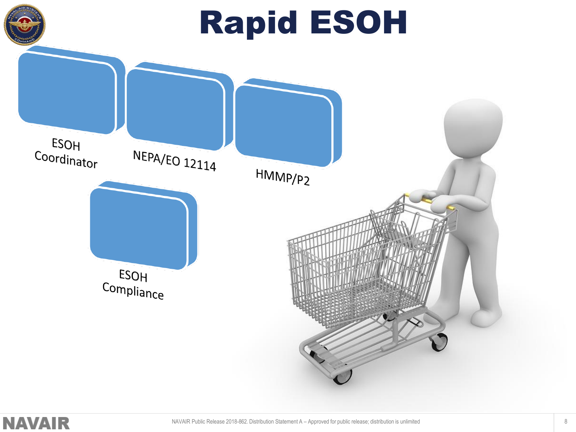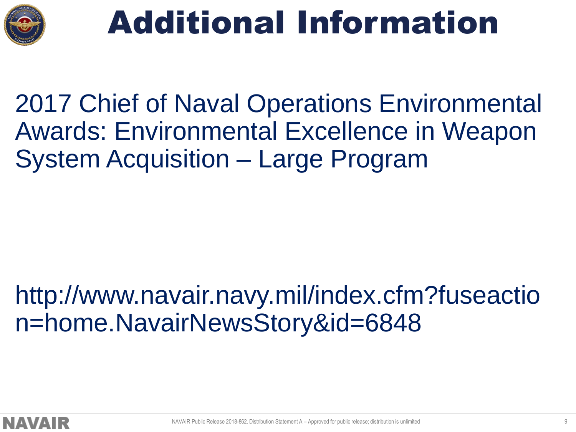

### Additional Information

2017 Chief of Naval Operations Environmental Awards: Environmental Excellence in Weapon System Acquisition – Large Program

### http://www.navair.navy.mil/index.cfm?fuseactio n=home.NavairNewsStory&id=6848